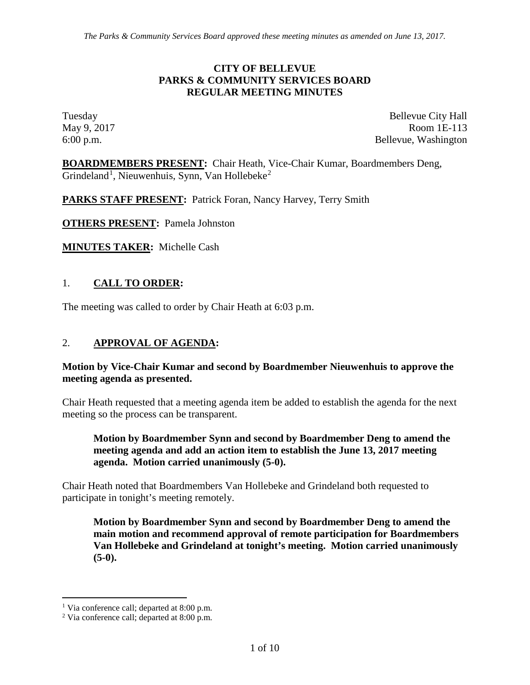#### **CITY OF BELLEVUE PARKS & COMMUNITY SERVICES BOARD REGULAR MEETING MINUTES**

Tuesday Bellevue City Hall May 9, 2017 Room 1E-113 6:00 p.m. Bellevue, Washington

**BOARDMEMBERS PRESENT:** Chair Heath, Vice-Chair Kumar, Boardmembers Deng, Grindeland<sup>[1](#page-0-0)</sup>, Nieuwenhuis, Synn, Van Hollebeke<sup>[2](#page-0-1)</sup>

PARKS STAFF PRESENT: Patrick Foran, Nancy Harvey, Terry Smith

**OTHERS PRESENT:** Pamela Johnston

**MINUTES TAKER:** Michelle Cash

## 1. **CALL TO ORDER:**

The meeting was called to order by Chair Heath at 6:03 p.m.

### 2. **APPROVAL OF AGENDA:**

#### **Motion by Vice-Chair Kumar and second by Boardmember Nieuwenhuis to approve the meeting agenda as presented.**

Chair Heath requested that a meeting agenda item be added to establish the agenda for the next meeting so the process can be transparent.

**Motion by Boardmember Synn and second by Boardmember Deng to amend the meeting agenda and add an action item to establish the June 13, 2017 meeting agenda. Motion carried unanimously (5-0).**

Chair Heath noted that Boardmembers Van Hollebeke and Grindeland both requested to participate in tonight's meeting remotely.

**Motion by Boardmember Synn and second by Boardmember Deng to amend the main motion and recommend approval of remote participation for Boardmembers Van Hollebeke and Grindeland at tonight's meeting. Motion carried unanimously (5-0).**

<span id="page-0-0"></span><sup>&</sup>lt;sup>1</sup> Via conference call; departed at  $8:00$  p.m.

<span id="page-0-1"></span><sup>2</sup> Via conference call; departed at 8:00 p.m.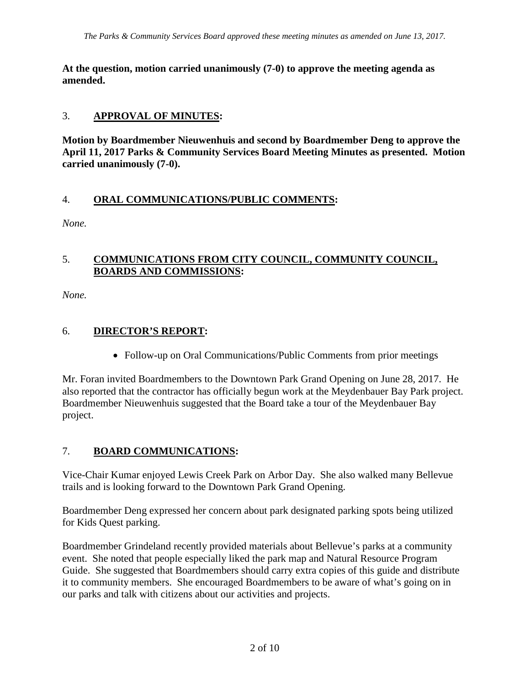**At the question, motion carried unanimously (7-0) to approve the meeting agenda as amended.**

## 3. **APPROVAL OF MINUTES:**

**Motion by Boardmember Nieuwenhuis and second by Boardmember Deng to approve the April 11, 2017 Parks & Community Services Board Meeting Minutes as presented. Motion carried unanimously (7-0).**

# 4. **ORAL COMMUNICATIONS/PUBLIC COMMENTS:**

*None.*

### 5. **COMMUNICATIONS FROM CITY COUNCIL, COMMUNITY COUNCIL, BOARDS AND COMMISSIONS:**

*None.*

# 6. **DIRECTOR'S REPORT:**

• Follow-up on Oral Communications/Public Comments from prior meetings

Mr. Foran invited Boardmembers to the Downtown Park Grand Opening on June 28, 2017. He also reported that the contractor has officially begun work at the Meydenbauer Bay Park project. Boardmember Nieuwenhuis suggested that the Board take a tour of the Meydenbauer Bay project.

# 7. **BOARD COMMUNICATIONS:**

Vice-Chair Kumar enjoyed Lewis Creek Park on Arbor Day. She also walked many Bellevue trails and is looking forward to the Downtown Park Grand Opening.

Boardmember Deng expressed her concern about park designated parking spots being utilized for Kids Quest parking.

Boardmember Grindeland recently provided materials about Bellevue's parks at a community event. She noted that people especially liked the park map and Natural Resource Program Guide. She suggested that Boardmembers should carry extra copies of this guide and distribute it to community members. She encouraged Boardmembers to be aware of what's going on in our parks and talk with citizens about our activities and projects.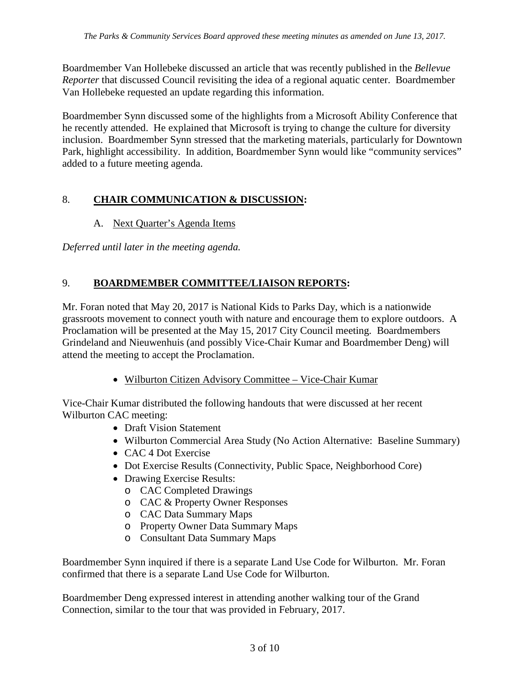Boardmember Van Hollebeke discussed an article that was recently published in the *Bellevue Reporter* that discussed Council revisiting the idea of a regional aquatic center. Boardmember Van Hollebeke requested an update regarding this information.

Boardmember Synn discussed some of the highlights from a Microsoft Ability Conference that he recently attended. He explained that Microsoft is trying to change the culture for diversity inclusion. Boardmember Synn stressed that the marketing materials, particularly for Downtown Park, highlight accessibility. In addition, Boardmember Synn would like "community services" added to a future meeting agenda.

# 8. **CHAIR COMMUNICATION & DISCUSSION:**

# A. Next Quarter's Agenda Items

*Deferred until later in the meeting agenda.*

# 9. **BOARDMEMBER COMMITTEE/LIAISON REPORTS:**

Mr. Foran noted that May 20, 2017 is National Kids to Parks Day, which is a nationwide grassroots movement to connect youth with nature and encourage them to explore outdoors. A Proclamation will be presented at the May 15, 2017 City Council meeting. Boardmembers Grindeland and Nieuwenhuis (and possibly Vice-Chair Kumar and Boardmember Deng) will attend the meeting to accept the Proclamation.

• Wilburton Citizen Advisory Committee – Vice-Chair Kumar

Vice-Chair Kumar distributed the following handouts that were discussed at her recent Wilburton CAC meeting:

- Draft Vision Statement
- Wilburton Commercial Area Study (No Action Alternative: Baseline Summary)
- CAC 4 Dot Exercise
- Dot Exercise Results (Connectivity, Public Space, Neighborhood Core)
- Drawing Exercise Results:
	- o CAC Completed Drawings
	- o CAC & Property Owner Responses
	- o CAC Data Summary Maps
	- o Property Owner Data Summary Maps
	- o Consultant Data Summary Maps

Boardmember Synn inquired if there is a separate Land Use Code for Wilburton. Mr. Foran confirmed that there is a separate Land Use Code for Wilburton.

Boardmember Deng expressed interest in attending another walking tour of the Grand Connection, similar to the tour that was provided in February, 2017.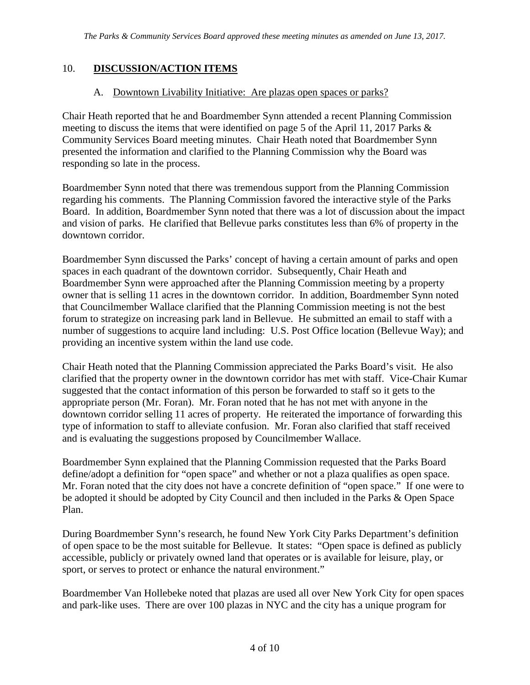## 10. **DISCUSSION/ACTION ITEMS**

### A. Downtown Livability Initiative: Are plazas open spaces or parks?

Chair Heath reported that he and Boardmember Synn attended a recent Planning Commission meeting to discuss the items that were identified on page 5 of the April 11, 2017 Parks & Community Services Board meeting minutes. Chair Heath noted that Boardmember Synn presented the information and clarified to the Planning Commission why the Board was responding so late in the process.

Boardmember Synn noted that there was tremendous support from the Planning Commission regarding his comments. The Planning Commission favored the interactive style of the Parks Board. In addition, Boardmember Synn noted that there was a lot of discussion about the impact and vision of parks. He clarified that Bellevue parks constitutes less than 6% of property in the downtown corridor.

Boardmember Synn discussed the Parks' concept of having a certain amount of parks and open spaces in each quadrant of the downtown corridor. Subsequently, Chair Heath and Boardmember Synn were approached after the Planning Commission meeting by a property owner that is selling 11 acres in the downtown corridor. In addition, Boardmember Synn noted that Councilmember Wallace clarified that the Planning Commission meeting is not the best forum to strategize on increasing park land in Bellevue. He submitted an email to staff with a number of suggestions to acquire land including: U.S. Post Office location (Bellevue Way); and providing an incentive system within the land use code.

Chair Heath noted that the Planning Commission appreciated the Parks Board's visit. He also clarified that the property owner in the downtown corridor has met with staff. Vice-Chair Kumar suggested that the contact information of this person be forwarded to staff so it gets to the appropriate person (Mr. Foran). Mr. Foran noted that he has not met with anyone in the downtown corridor selling 11 acres of property. He reiterated the importance of forwarding this type of information to staff to alleviate confusion. Mr. Foran also clarified that staff received and is evaluating the suggestions proposed by Councilmember Wallace.

Boardmember Synn explained that the Planning Commission requested that the Parks Board define/adopt a definition for "open space" and whether or not a plaza qualifies as open space. Mr. Foran noted that the city does not have a concrete definition of "open space." If one were to be adopted it should be adopted by City Council and then included in the Parks & Open Space Plan.

During Boardmember Synn's research, he found New York City Parks Department's definition of open space to be the most suitable for Bellevue. It states: "Open space is defined as publicly accessible, publicly or privately owned land that operates or is available for leisure, play, or sport, or serves to protect or enhance the natural environment."

Boardmember Van Hollebeke noted that plazas are used all over New York City for open spaces and park-like uses. There are over 100 plazas in NYC and the city has a unique program for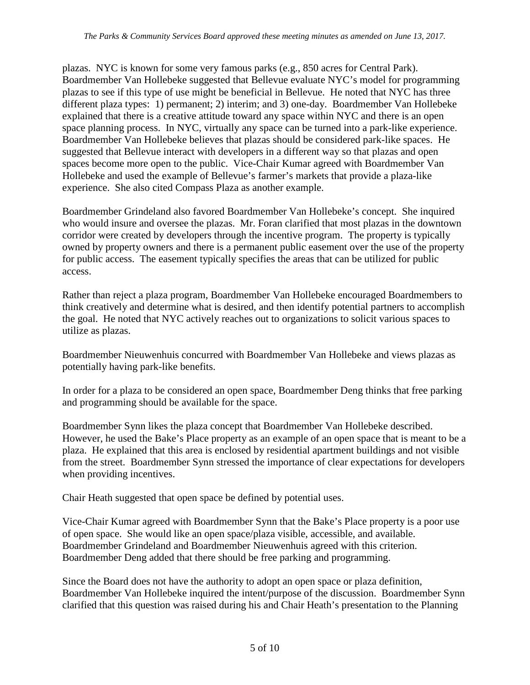plazas. NYC is known for some very famous parks (e.g., 850 acres for Central Park). Boardmember Van Hollebeke suggested that Bellevue evaluate NYC's model for programming plazas to see if this type of use might be beneficial in Bellevue. He noted that NYC has three different plaza types: 1) permanent; 2) interim; and 3) one-day. Boardmember Van Hollebeke explained that there is a creative attitude toward any space within NYC and there is an open space planning process. In NYC, virtually any space can be turned into a park-like experience. Boardmember Van Hollebeke believes that plazas should be considered park-like spaces. He suggested that Bellevue interact with developers in a different way so that plazas and open spaces become more open to the public. Vice-Chair Kumar agreed with Boardmember Van Hollebeke and used the example of Bellevue's farmer's markets that provide a plaza-like experience. She also cited Compass Plaza as another example.

Boardmember Grindeland also favored Boardmember Van Hollebeke's concept. She inquired who would insure and oversee the plazas. Mr. Foran clarified that most plazas in the downtown corridor were created by developers through the incentive program. The property is typically owned by property owners and there is a permanent public easement over the use of the property for public access. The easement typically specifies the areas that can be utilized for public access.

Rather than reject a plaza program, Boardmember Van Hollebeke encouraged Boardmembers to think creatively and determine what is desired, and then identify potential partners to accomplish the goal. He noted that NYC actively reaches out to organizations to solicit various spaces to utilize as plazas.

Boardmember Nieuwenhuis concurred with Boardmember Van Hollebeke and views plazas as potentially having park-like benefits.

In order for a plaza to be considered an open space, Boardmember Deng thinks that free parking and programming should be available for the space.

Boardmember Synn likes the plaza concept that Boardmember Van Hollebeke described. However, he used the Bake's Place property as an example of an open space that is meant to be a plaza. He explained that this area is enclosed by residential apartment buildings and not visible from the street. Boardmember Synn stressed the importance of clear expectations for developers when providing incentives.

Chair Heath suggested that open space be defined by potential uses.

Vice-Chair Kumar agreed with Boardmember Synn that the Bake's Place property is a poor use of open space. She would like an open space/plaza visible, accessible, and available. Boardmember Grindeland and Boardmember Nieuwenhuis agreed with this criterion. Boardmember Deng added that there should be free parking and programming.

Since the Board does not have the authority to adopt an open space or plaza definition, Boardmember Van Hollebeke inquired the intent/purpose of the discussion. Boardmember Synn clarified that this question was raised during his and Chair Heath's presentation to the Planning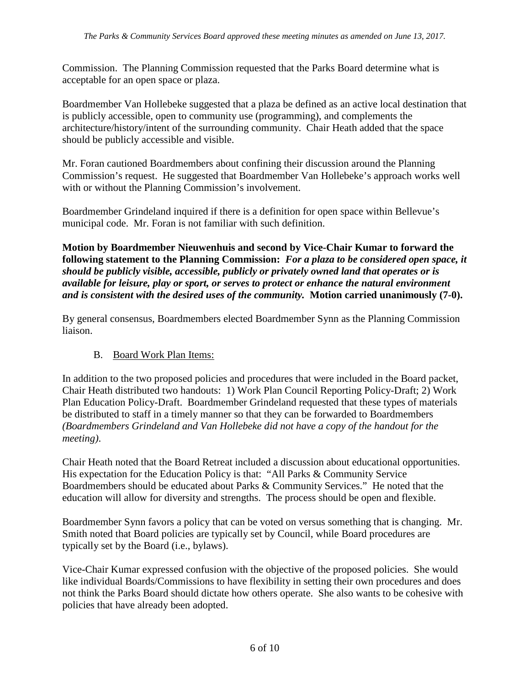Commission. The Planning Commission requested that the Parks Board determine what is acceptable for an open space or plaza.

Boardmember Van Hollebeke suggested that a plaza be defined as an active local destination that is publicly accessible, open to community use (programming), and complements the architecture/history/intent of the surrounding community. Chair Heath added that the space should be publicly accessible and visible.

Mr. Foran cautioned Boardmembers about confining their discussion around the Planning Commission's request. He suggested that Boardmember Van Hollebeke's approach works well with or without the Planning Commission's involvement.

Boardmember Grindeland inquired if there is a definition for open space within Bellevue's municipal code. Mr. Foran is not familiar with such definition.

**Motion by Boardmember Nieuwenhuis and second by Vice-Chair Kumar to forward the following statement to the Planning Commission:** *For a plaza to be considered open space, it should be publicly visible, accessible, publicly or privately owned land that operates or is available for leisure, play or sport, or serves to protect or enhance the natural environment and is consistent with the desired uses of the community.* **Motion carried unanimously (7-0).**

By general consensus, Boardmembers elected Boardmember Synn as the Planning Commission liaison.

### B. Board Work Plan Items:

In addition to the two proposed policies and procedures that were included in the Board packet, Chair Heath distributed two handouts: 1) Work Plan Council Reporting Policy-Draft; 2) Work Plan Education Policy-Draft. Boardmember Grindeland requested that these types of materials be distributed to staff in a timely manner so that they can be forwarded to Boardmembers *(Boardmembers Grindeland and Van Hollebeke did not have a copy of the handout for the meeting)*.

Chair Heath noted that the Board Retreat included a discussion about educational opportunities. His expectation for the Education Policy is that: "All Parks & Community Service Boardmembers should be educated about Parks & Community Services." He noted that the education will allow for diversity and strengths. The process should be open and flexible.

Boardmember Synn favors a policy that can be voted on versus something that is changing. Mr. Smith noted that Board policies are typically set by Council, while Board procedures are typically set by the Board (i.e., bylaws).

Vice-Chair Kumar expressed confusion with the objective of the proposed policies. She would like individual Boards/Commissions to have flexibility in setting their own procedures and does not think the Parks Board should dictate how others operate. She also wants to be cohesive with policies that have already been adopted.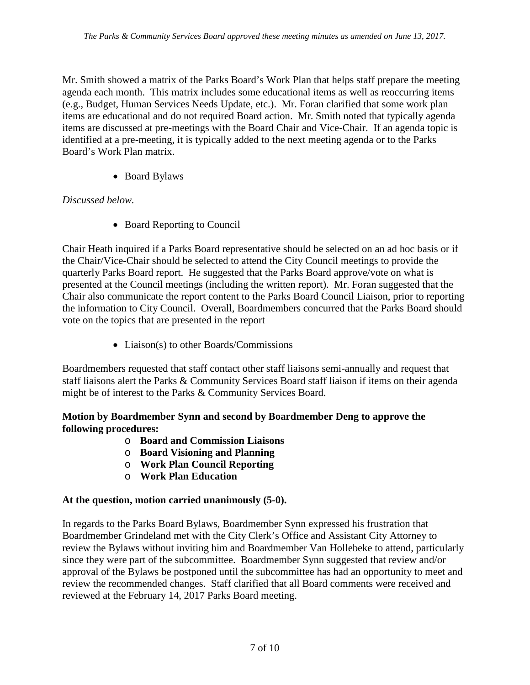Mr. Smith showed a matrix of the Parks Board's Work Plan that helps staff prepare the meeting agenda each month. This matrix includes some educational items as well as reoccurring items (e.g., Budget, Human Services Needs Update, etc.). Mr. Foran clarified that some work plan items are educational and do not required Board action. Mr. Smith noted that typically agenda items are discussed at pre-meetings with the Board Chair and Vice-Chair. If an agenda topic is identified at a pre-meeting, it is typically added to the next meeting agenda or to the Parks Board's Work Plan matrix.

• Board Bylaws

# *Discussed below.*

• Board Reporting to Council

Chair Heath inquired if a Parks Board representative should be selected on an ad hoc basis or if the Chair/Vice-Chair should be selected to attend the City Council meetings to provide the quarterly Parks Board report. He suggested that the Parks Board approve/vote on what is presented at the Council meetings (including the written report). Mr. Foran suggested that the Chair also communicate the report content to the Parks Board Council Liaison, prior to reporting the information to City Council. Overall, Boardmembers concurred that the Parks Board should vote on the topics that are presented in the report

• Liaison(s) to other Boards/Commissions

Boardmembers requested that staff contact other staff liaisons semi-annually and request that staff liaisons alert the Parks & Community Services Board staff liaison if items on their agenda might be of interest to the Parks & Community Services Board.

### **Motion by Boardmember Synn and second by Boardmember Deng to approve the following procedures:**

- o **Board and Commission Liaisons**
- o **Board Visioning and Planning**
- o **Work Plan Council Reporting**
- o **Work Plan Education**

### **At the question, motion carried unanimously (5-0).**

In regards to the Parks Board Bylaws, Boardmember Synn expressed his frustration that Boardmember Grindeland met with the City Clerk's Office and Assistant City Attorney to review the Bylaws without inviting him and Boardmember Van Hollebeke to attend, particularly since they were part of the subcommittee. Boardmember Synn suggested that review and/or approval of the Bylaws be postponed until the subcommittee has had an opportunity to meet and review the recommended changes. Staff clarified that all Board comments were received and reviewed at the February 14, 2017 Parks Board meeting.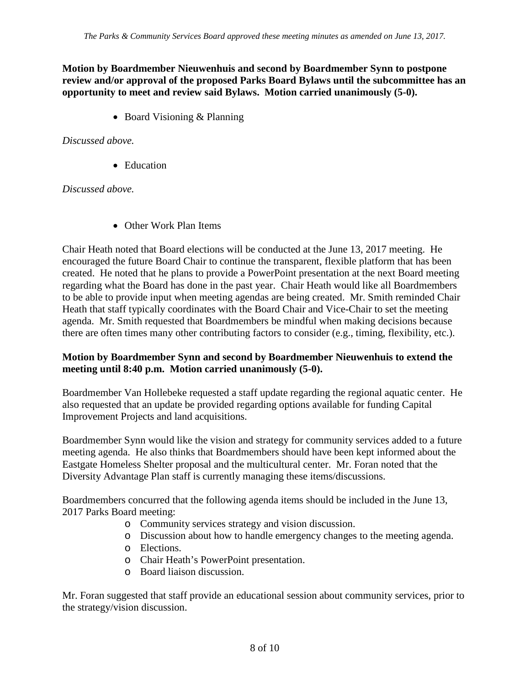#### **Motion by Boardmember Nieuwenhuis and second by Boardmember Synn to postpone review and/or approval of the proposed Parks Board Bylaws until the subcommittee has an opportunity to meet and review said Bylaws. Motion carried unanimously (5-0).**

• Board Visioning & Planning

#### *Discussed above.*

• Education

#### *Discussed above.*

• Other Work Plan Items

Chair Heath noted that Board elections will be conducted at the June 13, 2017 meeting. He encouraged the future Board Chair to continue the transparent, flexible platform that has been created. He noted that he plans to provide a PowerPoint presentation at the next Board meeting regarding what the Board has done in the past year. Chair Heath would like all Boardmembers to be able to provide input when meeting agendas are being created. Mr. Smith reminded Chair Heath that staff typically coordinates with the Board Chair and Vice-Chair to set the meeting agenda. Mr. Smith requested that Boardmembers be mindful when making decisions because there are often times many other contributing factors to consider (e.g., timing, flexibility, etc.).

#### **Motion by Boardmember Synn and second by Boardmember Nieuwenhuis to extend the meeting until 8:40 p.m. Motion carried unanimously (5-0).**

Boardmember Van Hollebeke requested a staff update regarding the regional aquatic center. He also requested that an update be provided regarding options available for funding Capital Improvement Projects and land acquisitions.

Boardmember Synn would like the vision and strategy for community services added to a future meeting agenda. He also thinks that Boardmembers should have been kept informed about the Eastgate Homeless Shelter proposal and the multicultural center. Mr. Foran noted that the Diversity Advantage Plan staff is currently managing these items/discussions.

Boardmembers concurred that the following agenda items should be included in the June 13, 2017 Parks Board meeting:

- o Community services strategy and vision discussion.
- o Discussion about how to handle emergency changes to the meeting agenda.
- o Elections.
- o Chair Heath's PowerPoint presentation.
- o Board liaison discussion.

Mr. Foran suggested that staff provide an educational session about community services, prior to the strategy/vision discussion.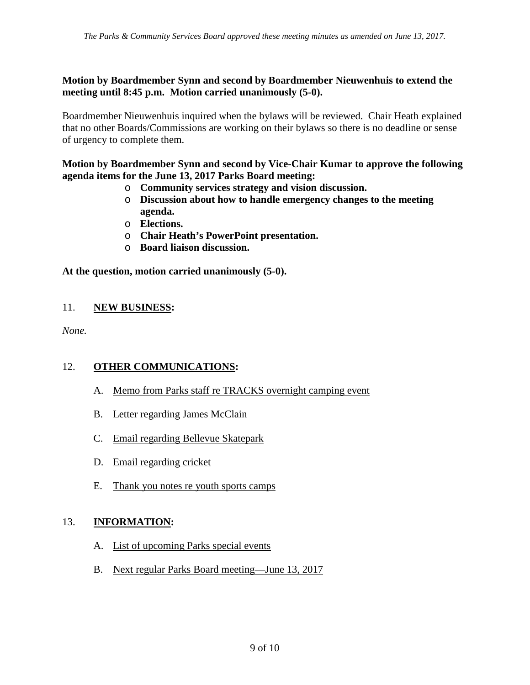### **Motion by Boardmember Synn and second by Boardmember Nieuwenhuis to extend the meeting until 8:45 p.m. Motion carried unanimously (5-0).**

Boardmember Nieuwenhuis inquired when the bylaws will be reviewed. Chair Heath explained that no other Boards/Commissions are working on their bylaws so there is no deadline or sense of urgency to complete them.

#### **Motion by Boardmember Synn and second by Vice-Chair Kumar to approve the following agenda items for the June 13, 2017 Parks Board meeting:**

- o **Community services strategy and vision discussion.**
- o **Discussion about how to handle emergency changes to the meeting agenda.**
- o **Elections.**
- o **Chair Heath's PowerPoint presentation.**
- o **Board liaison discussion.**

### **At the question, motion carried unanimously (5-0).**

### 11. **NEW BUSINESS:**

*None.*

### 12. **OTHER COMMUNICATIONS:**

- A. Memo from Parks staff re TRACKS overnight camping event
- B. Letter regarding James McClain
- C. Email regarding Bellevue Skatepark
- D. Email regarding cricket
- E. Thank you notes re youth sports camps

### 13. **INFORMATION:**

- A. List of upcoming Parks special events
- B. Next regular Parks Board meeting—June 13, 2017